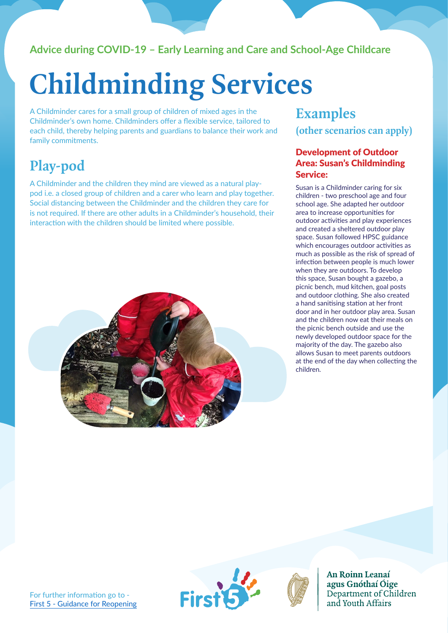### **Advice during COVID-19 – Early Learning and Care and School-Age Childcare**

# **Childminding Services**

A Childminder cares for a small group of children of mixed ages in the Childminder's own home. Childminders offer a flexible service, tailored to each child, thereby helping parents and guardians to balance their work and family commitments.

## **Play-pod**

A Childminder and the children they mind are viewed as a natural playpod i.e. a closed group of children and a carer who learn and play together. Social distancing between the Childminder and the children they care for is not required. If there are other adults in a Childminder's household, their interaction with the children should be limited where possible.



## **Examples (other scenarios can apply)**

#### Development of Outdoor Area: Susan's Childminding Service:

Susan is a Childminder caring for six children - two preschool age and four school age. She adapted her outdoor area to increase opportunities for outdoor activities and play experiences and created a sheltered outdoor play space. Susan followed HPSC guidance which encourages outdoor activities as much as possible as the risk of spread of infection between people is much lower when they are outdoors. To develop this space, Susan bought a gazebo, a picnic bench, mud kitchen, goal posts and outdoor clothing. She also created a hand sanitising station at her front door and in her outdoor play area. Susan and the children now eat their meals on the picnic bench outside and use the newly developed outdoor space for the majority of the day. The gazebo also allows Susan to meet parents outdoors at the end of the day when collecting the children.



An Roinn Leanaí agus Gnóthaí Óige Department of Children and Youth Affairs